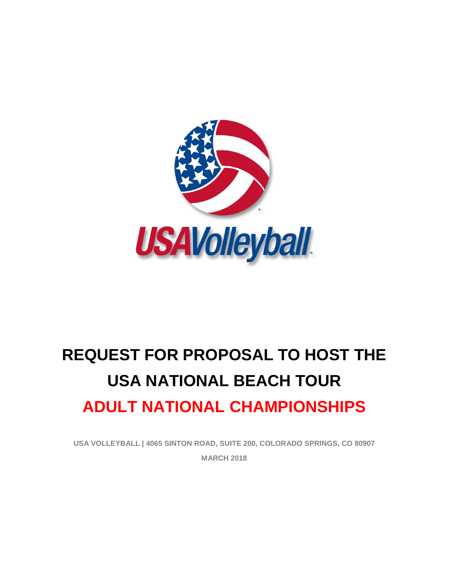

# **REQUEST FOR PROPOSAL TO HOST THE USA NATIONAL BEACH TOUR ADULT NATIONAL CHAMPIONSHIPS**

**USA VOLLEYBALL | 4065 SINTON ROAD, SUITE 200, COLORADO SPRINGS, CO 80907 MARCH 2018**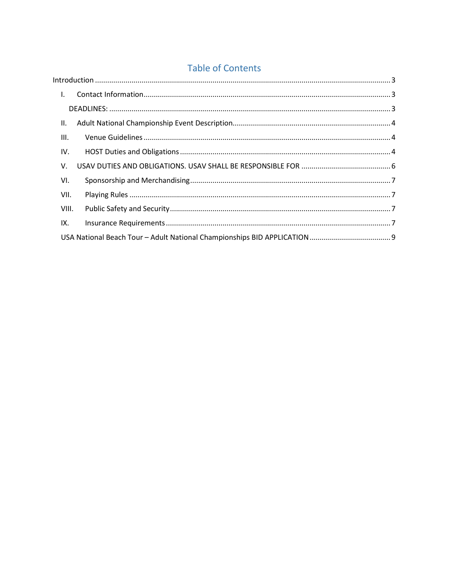## **Table of Contents**

| $\mathsf{L}$ |  |
|--------------|--|
|              |  |
| Ш.           |  |
| III.         |  |
| IV.          |  |
| V.           |  |
| VI.          |  |
| VII.         |  |
| VIII.        |  |
| IX.          |  |
|              |  |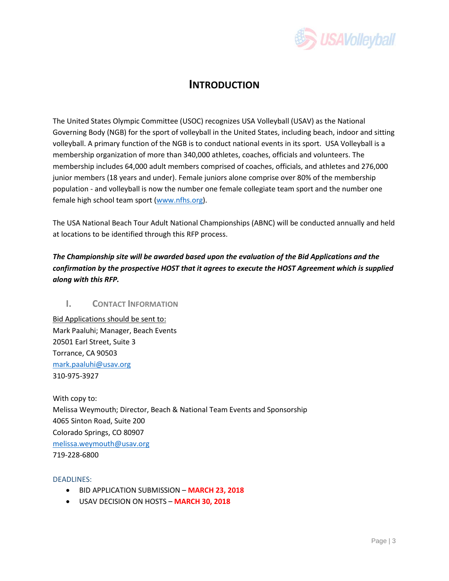

## **INTRODUCTION**

<span id="page-2-0"></span>The United States Olympic Committee (USOC) recognizes USA Volleyball (USAV) as the National Governing Body (NGB) for the sport of volleyball in the United States, including beach, indoor and sitting volleyball. A primary function of the NGB is to conduct national events in its sport. USA Volleyball is a membership organization of more than 340,000 athletes, coaches, officials and volunteers. The membership includes 64,000 adult members comprised of coaches, officials, and athletes and 276,000 junior members (18 years and under). Female juniors alone comprise over 80% of the membership population - and volleyball is now the number one female collegiate team sport and the number one female high school team sport [\(www.nfhs.org\)](http://www.nfhs.org/).

The USA National Beach Tour Adult National Championships (ABNC) will be conducted annually and held at locations to be identified through this RFP process.

*The Championship site will be awarded based upon the evaluation of the Bid Applications and the confirmation by the prospective HOST that it agrees to execute the HOST Agreement which is supplied along with this RFP.*

#### <span id="page-2-1"></span>**I. CONTACT INFORMATION**

Bid Applications should be sent to: Mark Paaluhi; Manager, Beach Events 20501 Earl Street, Suite 3 Torrance, CA 90503 [mark.paaluhi@usav.org](mailto:mark.paaluhi@usav.org) 310-975-3927

With copy to: Melissa Weymouth; Director, Beach & National Team Events and Sponsorship 4065 Sinton Road, Suite 200 Colorado Springs, CO 80907 [melissa.weymouth@usav.org](mailto:melissa.weymouth@usav.org) 719-228-6800

<span id="page-2-2"></span>DEADLINES:

- BID APPLICATION SUBMISSION **MARCH 23, 2018**
- USAV DECISION ON HOSTS **MARCH 30, 2018**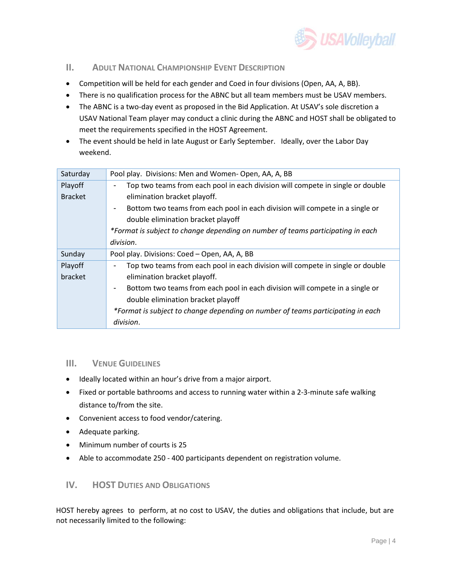

#### <span id="page-3-0"></span>**II. ADULT NATIONAL CHAMPIONSHIP EVENT DESCRIPTION**

- Competition will be held for each gender and Coed in four divisions (Open, AA, A, BB).
- There is no qualification process for the ABNC but all team members must be USAV members.
- The ABNC is a two-day event as proposed in the Bid Application. At USAV's sole discretion a USAV National Team player may conduct a clinic during the ABNC and HOST shall be obligated to meet the requirements specified in the HOST Agreement.
- The event should be held in late August or Early September. Ideally, over the Labor Day weekend.

| Pool play. Divisions: Men and Women-Open, AA, A, BB                                                          |  |  |  |  |  |  |
|--------------------------------------------------------------------------------------------------------------|--|--|--|--|--|--|
| Top two teams from each pool in each division will compete in single or double                               |  |  |  |  |  |  |
| elimination bracket playoff.                                                                                 |  |  |  |  |  |  |
| Bottom two teams from each pool in each division will compete in a single or<br>$\qquad \qquad \blacksquare$ |  |  |  |  |  |  |
| double elimination bracket playoff                                                                           |  |  |  |  |  |  |
| *Format is subject to change depending on number of teams participating in each                              |  |  |  |  |  |  |
| division.                                                                                                    |  |  |  |  |  |  |
| Pool play. Divisions: Coed - Open, AA, A, BB                                                                 |  |  |  |  |  |  |
| Top two teams from each pool in each division will compete in single or double                               |  |  |  |  |  |  |
| elimination bracket playoff.                                                                                 |  |  |  |  |  |  |
| Bottom two teams from each pool in each division will compete in a single or<br>$\blacksquare$               |  |  |  |  |  |  |
| double elimination bracket playoff                                                                           |  |  |  |  |  |  |
| *Format is subject to change depending on number of teams participating in each                              |  |  |  |  |  |  |
| division.                                                                                                    |  |  |  |  |  |  |
|                                                                                                              |  |  |  |  |  |  |

#### <span id="page-3-1"></span>**III. VENUE GUIDELINES**

- Ideally located within an hour's drive from a major airport.
- Fixed or portable bathrooms and access to running water within a 2-3-minute safe walking distance to/from the site.
- Convenient access to food vendor/catering.
- Adequate parking.
- Minimum number of courts is 25
- Able to accommodate 250 400 participants dependent on registration volume.

#### <span id="page-3-2"></span>**IV. HOST DUTIES AND OBLIGATIONS**

HOST hereby agrees to perform, at no cost to USAV, the duties and obligations that include, but are not necessarily limited to the following: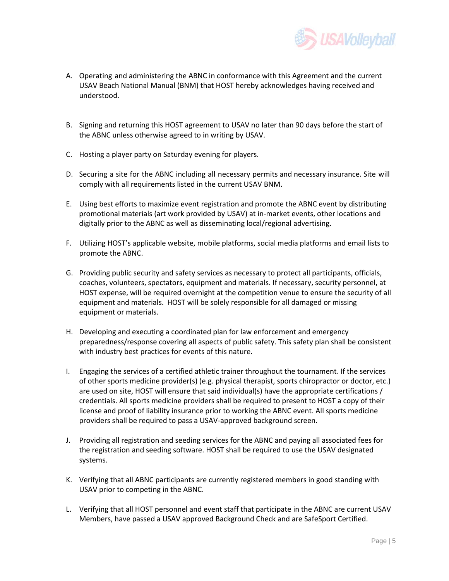

- A. Operating and administering the ABNC in conformance with this Agreement and the current USAV Beach National Manual (BNM) that HOST hereby acknowledges having received and understood.
- B. Signing and returning this HOST agreement to USAV no later than 90 days before the start of the ABNC unless otherwise agreed to in writing by USAV.
- C. Hosting a player party on Saturday evening for players.
- D. Securing a site for the ABNC including all necessary permits and necessary insurance. Site will comply with all requirements listed in the current USAV BNM.
- E. Using best efforts to maximize event registration and promote the ABNC event by distributing promotional materials (art work provided by USAV) at in-market events, other locations and digitally prior to the ABNC as well as disseminating local/regional advertising.
- F. Utilizing HOST's applicable website, mobile platforms, social media platforms and email lists to promote the ABNC.
- G. Providing public security and safety services as necessary to protect all participants, officials, coaches, volunteers, spectators, equipment and materials. If necessary, security personnel, at HOST expense, will be required overnight at the competition venue to ensure the security of all equipment and materials. HOST will be solely responsible for all damaged or missing equipment or materials.
- H. Developing and executing a coordinated plan for law enforcement and emergency preparedness/response covering all aspects of public safety. This safety plan shall be consistent with industry best practices for events of this nature.
- I. Engaging the services of a certified athletic trainer throughout the tournament. If the services of other sports medicine provider(s) (e.g. physical therapist, sports chiropractor or doctor, etc.) are used on site, HOST will ensure that said individual(s) have the appropriate certifications / credentials. All sports medicine providers shall be required to present to HOST a copy of their license and proof of liability insurance prior to working the ABNC event. All sports medicine providers shall be required to pass a USAV-approved background screen.
- J. Providing all registration and seeding services for the ABNC and paying all associated fees for the registration and seeding software. HOST shall be required to use the USAV designated systems.
- K. Verifying that all ABNC participants are currently registered members in good standing with USAV prior to competing in the ABNC.
- L. Verifying that all HOST personnel and event staff that participate in the ABNC are current USAV Members, have passed a USAV approved Background Check and are SafeSport Certified.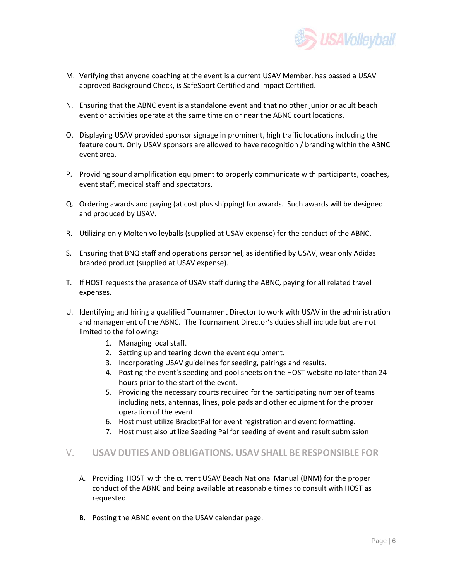

- M. Verifying that anyone coaching at the event is a current USAV Member, has passed a USAV approved Background Check, is SafeSport Certified and Impact Certified.
- N. Ensuring that the ABNC event is a standalone event and that no other junior or adult beach event or activities operate at the same time on or near the ABNC court locations.
- O. Displaying USAV provided sponsor signage in prominent, high traffic locations including the feature court. Only USAV sponsors are allowed to have recognition / branding within the ABNC event area.
- P. Providing sound amplification equipment to properly communicate with participants, coaches, event staff, medical staff and spectators.
- Q. Ordering awards and paying (at cost plus shipping) for awards. Such awards will be designed and produced by USAV.
- R. Utilizing only Molten volleyballs (supplied at USAV expense) for the conduct of the ABNC.
- S. Ensuring that BNQ staff and operations personnel, as identified by USAV, wear only Adidas branded product (supplied at USAV expense).
- T. If HOST requests the presence of USAV staff during the ABNC, paying for all related travel expenses.
- U. Identifying and hiring a qualified Tournament Director to work with USAV in the administration and management of the ABNC. The Tournament Director's duties shall include but are not limited to the following:
	- 1. Managing local staff.
	- 2. Setting up and tearing down the event equipment.
	- 3. Incorporating USAV guidelines for seeding, pairings and results.
	- 4. Posting the event's seeding and pool sheets on the HOST website no later than 24 hours prior to the start of the event.
	- 5. Providing the necessary courts required for the participating number of teams including nets, antennas, lines, pole pads and other equipment for the proper operation of the event.
	- 6. Host must utilize BracketPal for event registration and event formatting.
	- 7. Host must also utilize Seeding Pal for seeding of event and result submission

### <span id="page-5-0"></span>V. **USAV DUTIES AND OBLIGATIONS. USAV SHALL BE RESPONSIBLE FOR**

- A. Providing HOST with the current USAV Beach National Manual (BNM) for the proper conduct of the ABNC and being available at reasonable times to consult with HOST as requested.
- B. Posting the ABNC event on the USAV calendar page.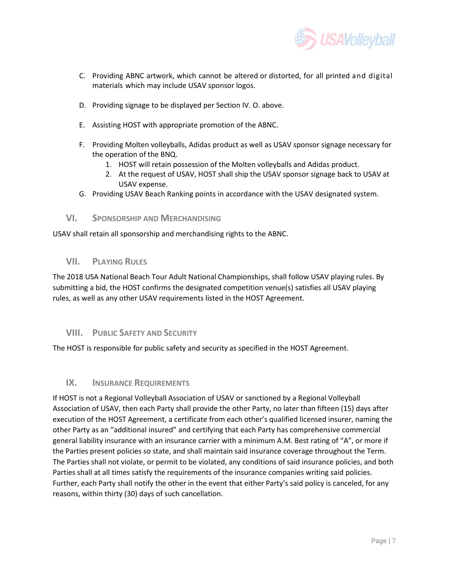

- C. Providing ABNC artwork, which cannot be altered or distorted, for all printed and digital materials which may include USAV sponsor logos.
- D. Providing signage to be displayed per Section IV. O. above.
- E. Assisting HOST with appropriate promotion of the ABNC.
- F. Providing Molten volleyballs, Adidas product as well as USAV sponsor signage necessary for the operation of the BNQ.
	- 1. HOST will retain possession of the Molten volleyballs and Adidas product.
	- 2. At the request of USAV, HOST shall ship the USAV sponsor signage back to USAV at USAV expense.
- G. Providing USAV Beach Ranking points in accordance with the USAV designated system.

#### <span id="page-6-0"></span>**VI. SPONSORSHIP AND MERCHANDISING**

USAV shall retain all sponsorship and merchandising rights to the ABNC.

#### <span id="page-6-1"></span>**VII. PLAYING RULES**

The 2018 USA National Beach Tour Adult National Championships, shall follow USAV playing rules. By submitting a bid, the HOST confirms the designated competition venue(s) satisfies all USAV playing rules, as well as any other USAV requirements listed in the HOST Agreement.

#### <span id="page-6-2"></span>**VIII. PUBLIC SAFETY AND SECURITY**

The HOST is responsible for public safety and security as specified in the HOST Agreement.

#### <span id="page-6-3"></span>**IX. INSURANCE REQUIREMENTS**

If HOST is not a Regional Volleyball Association of USAV or sanctioned by a Regional Volleyball Association of USAV, then each Party shall provide the other Party, no later than fifteen (15) days after execution of the HOST Agreement, a certificate from each other's qualified licensed insurer, naming the other Party as an "additional insured" and certifying that each Party has comprehensive commercial general liability insurance with an insurance carrier with a minimum A.M. Best rating of "A", or more if the Parties present policies so state, and shall maintain said insurance coverage throughout the Term. The Parties shall not violate, or permit to be violated, any conditions of said insurance policies, and both Parties shall at all times satisfy the requirements of the insurance companies writing said policies. Further, each Party shall notify the other in the event that either Party's said policy is canceled, for any reasons, within thirty (30) days of such cancellation.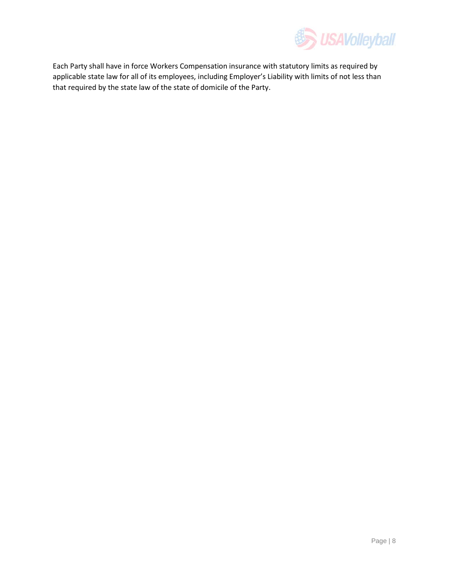

Each Party shall have in force Workers Compensation insurance with statutory limits as required by applicable state law for all of its employees, including Employer's Liability with limits of not less than that required by the state law of the state of domicile of the Party.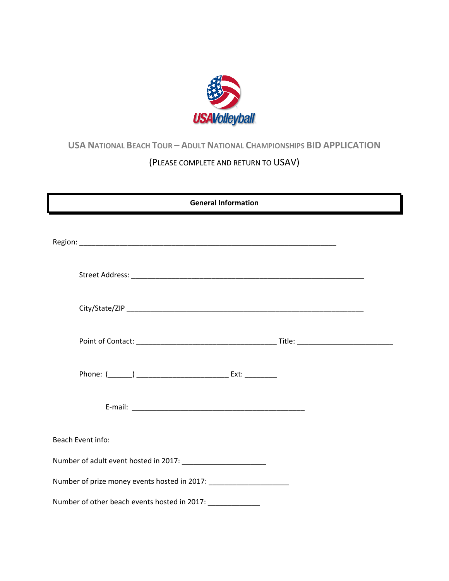

## <span id="page-8-0"></span>**USA NATIONAL BEACH TOUR – ADULT NATIONAL CHAMPIONSHIPS BID APPLICATION**

## (PLEASE COMPLETE AND RETURN TO USAV)

| <b>General Information</b>                                                       |  |
|----------------------------------------------------------------------------------|--|
|                                                                                  |  |
|                                                                                  |  |
|                                                                                  |  |
|                                                                                  |  |
|                                                                                  |  |
|                                                                                  |  |
| Beach Event info:                                                                |  |
|                                                                                  |  |
| Number of prize money events hosted in 2017: ___________________________________ |  |
| Number of other beach events hosted in 2017:                                     |  |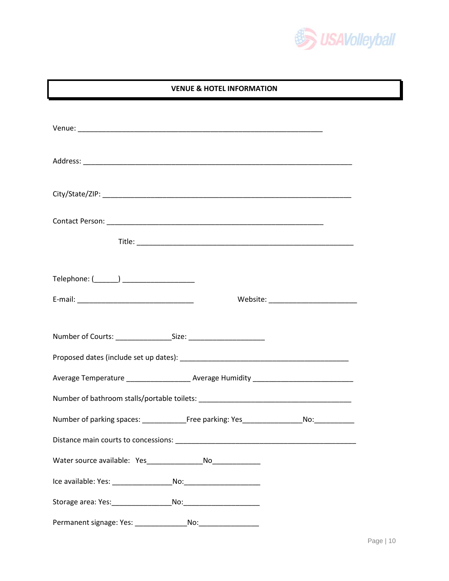

#### **VENUE & HOTEL INFORMATION**

| Telephone: (_______) _____________________                                                           |  |  |  |  |  |
|------------------------------------------------------------------------------------------------------|--|--|--|--|--|
|                                                                                                      |  |  |  |  |  |
|                                                                                                      |  |  |  |  |  |
| Average Temperature ______________________ Average Humidity _____________________                    |  |  |  |  |  |
|                                                                                                      |  |  |  |  |  |
| Number of parking spaces: ______________________Free parking: Yes___________________________________ |  |  |  |  |  |
|                                                                                                      |  |  |  |  |  |
|                                                                                                      |  |  |  |  |  |
|                                                                                                      |  |  |  |  |  |
|                                                                                                      |  |  |  |  |  |
| Permanent signage: Yes:<br>No:                                                                       |  |  |  |  |  |